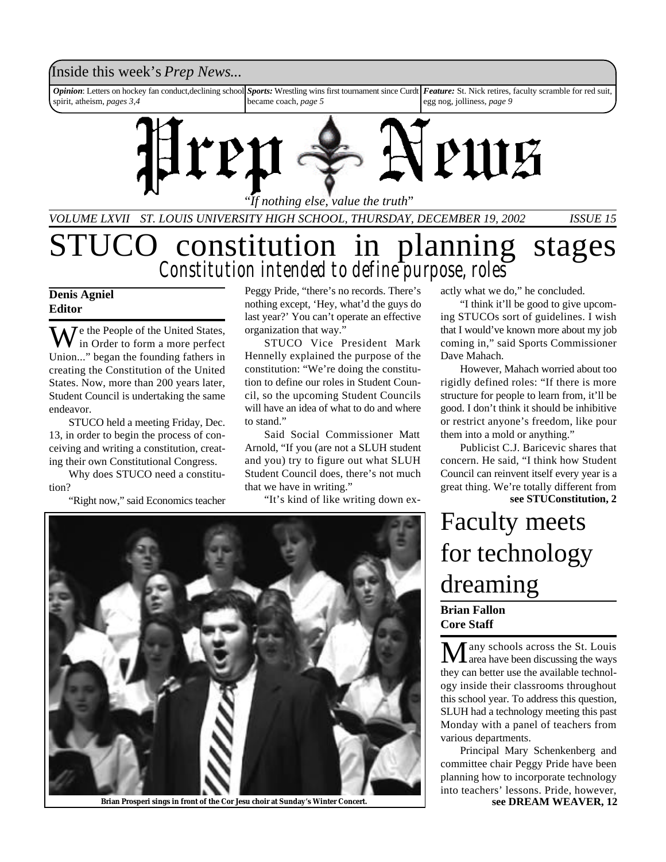### Inside this week's *Prep News*...

*Opinion*: Letters on hockey fan conduct,declining school spirit, atheism, *pages 3,4 Sports:* Wrestling wins first tournament since Curdt *Feature:* St. Nick retires, faculty scramble for red suit, became coach, *page 5* egg nog, jolliness, *page 9*



*VOLUME LXVII ST. LOUIS UNIVERSITY HIGH SCHOOL, THURSDAY, DECEMBER 19, 2002 ISSUE 15*

### STUCO constitution in planning stages *Constitution intended to define purpose, roles*

#### **Denis Agniel Editor**

 $\sum$   $\sum$   $\sum$  the People of the United States, in Order to form a more perfect Union..." began the founding fathers in creating the Constitution of the United States. Now, more than 200 years later, Student Council is undertaking the same endeavor.

STUCO held a meeting Friday, Dec. 13, in order to begin the process of conceiving and writing a constitution, creating their own Constitutional Congress.

Why does STUCO need a constitution?

"Right now," said Economics teacher

Peggy Pride, "there's no records. There's nothing except, 'Hey, what'd the guys do last year?' You can't operate an effective organization that way."

STUCO Vice President Mark Hennelly explained the purpose of the constitution: "We're doing the constitution to define our roles in Student Council, so the upcoming Student Councils will have an idea of what to do and where to stand."

Said Social Commissioner Matt Arnold, "If you (are not a SLUH student and you) try to figure out what SLUH Student Council does, there's not much that we have in writing."

"It's kind of like writing down ex-



**Brian Prosperi sings in front of the Cor Jesu choir at Sunday's Winter Concert. see DREAM WEAVER, 12**

actly what we do," he concluded.

"I think it'll be good to give upcoming STUCOs sort of guidelines. I wish that I would've known more about my job coming in," said Sports Commissioner Dave Mahach.

However, Mahach worried about too rigidly defined roles: "If there is more structure for people to learn from, it'll be good. I don't think it should be inhibitive or restrict anyone's freedom, like pour them into a mold or anything."

Publicist C.J. Baricevic shares that concern. He said, "I think how Student Council can reinvent itself every year is a great thing. We're totally different from **see STUConstitution, 2**

### Faculty meets for technology dreaming

**Brian Fallon Core Staff**

 $\mathbf M$ any schools across the St. Louis<br>area have been discussing the ways they can better use the available technology inside their classrooms throughout this school year. To address this question, SLUH had a technology meeting this past Monday with a panel of teachers from various departments.

Principal Mary Schenkenberg and committee chair Peggy Pride have been planning how to incorporate technology into teachers' lessons. Pride, however,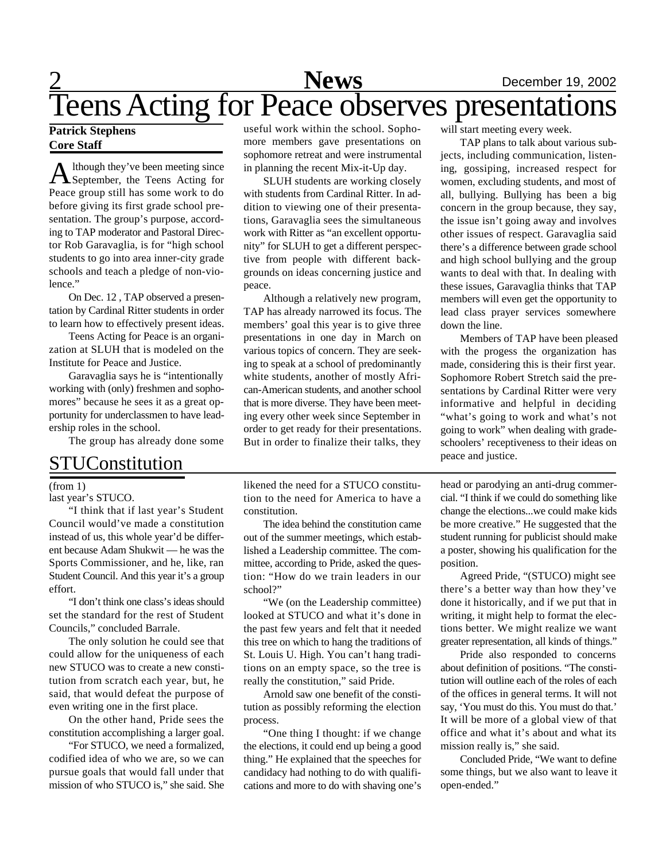### 2 **News** December 19, 2002 Teens Acting for Peace observes presentations

#### **Patrick Stephens Core Staff**

A lthough they've been meeting since<br>September, the Teens Acting for lthough they've been meeting since Peace group still has some work to do before giving its first grade school presentation. The group's purpose, according to TAP moderator and Pastoral Director Rob Garavaglia, is for "high school students to go into area inner-city grade schools and teach a pledge of non-violence."

On Dec. 12 , TAP observed a presentation by Cardinal Ritter students in order to learn how to effectively present ideas.

Teens Acting for Peace is an organization at SLUH that is modeled on the Institute for Peace and Justice.

Garavaglia says he is "intentionally working with (only) freshmen and sophomores" because he sees it as a great opportunity for underclassmen to have leadership roles in the school.

The group has already done some

### STUConstitution

#### (from 1)

last year's STUCO.

"I think that if last year's Student Council would've made a constitution instead of us, this whole year'd be different because Adam Shukwit — he was the Sports Commissioner, and he, like, ran Student Council. And this year it's a group effort.

"I don't think one class's ideas should set the standard for the rest of Student Councils," concluded Barrale.

The only solution he could see that could allow for the uniqueness of each new STUCO was to create a new constitution from scratch each year, but, he said, that would defeat the purpose of even writing one in the first place.

On the other hand, Pride sees the constitution accomplishing a larger goal.

"For STUCO, we need a formalized, codified idea of who we are, so we can pursue goals that would fall under that mission of who STUCO is," she said. She

useful work within the school. Sophomore members gave presentations on sophomore retreat and were instrumental in planning the recent Mix-it-Up day.

SLUH students are working closely with students from Cardinal Ritter. In addition to viewing one of their presentations, Garavaglia sees the simultaneous work with Ritter as "an excellent opportunity" for SLUH to get a different perspective from people with different backgrounds on ideas concerning justice and peace.

Although a relatively new program, TAP has already narrowed its focus. The members' goal this year is to give three presentations in one day in March on various topics of concern. They are seeking to speak at a school of predominantly white students, another of mostly African-American students, and another school that is more diverse. They have been meeting every other week since September in order to get ready for their presentations. But in order to finalize their talks, they

likened the need for a STUCO constitution to the need for America to have a constitution.

The idea behind the constitution came out of the summer meetings, which established a Leadership committee. The committee, according to Pride, asked the question: "How do we train leaders in our school?"

"We (on the Leadership committee) looked at STUCO and what it's done in the past few years and felt that it needed this tree on which to hang the traditions of St. Louis U. High. You can't hang traditions on an empty space, so the tree is really the constitution," said Pride.

Arnold saw one benefit of the constitution as possibly reforming the election process.

"One thing I thought: if we change the elections, it could end up being a good thing." He explained that the speeches for candidacy had nothing to do with qualifications and more to do with shaving one's will start meeting every week.

TAP plans to talk about various subjects, including communication, listening, gossiping, increased respect for women, excluding students, and most of all, bullying. Bullying has been a big concern in the group because, they say, the issue isn't going away and involves other issues of respect. Garavaglia said there's a difference between grade school and high school bullying and the group wants to deal with that. In dealing with these issues, Garavaglia thinks that TAP members will even get the opportunity to lead class prayer services somewhere down the line.

Members of TAP have been pleased with the progess the organization has made, considering this is their first year. Sophomore Robert Stretch said the presentations by Cardinal Ritter were very informative and helpful in deciding "what's going to work and what's not going to work" when dealing with gradeschoolers' receptiveness to their ideas on peace and justice.

head or parodying an anti-drug commercial. "I think if we could do something like change the elections...we could make kids be more creative." He suggested that the student running for publicist should make a poster, showing his qualification for the position.

Agreed Pride, "(STUCO) might see there's a better way than how they've done it historically, and if we put that in writing, it might help to format the elections better. We might realize we want greater representation, all kinds of things."

Pride also responded to concerns about definition of positions. "The constitution will outline each of the roles of each of the offices in general terms. It will not say, 'You must do this. You must do that.' It will be more of a global view of that office and what it's about and what its mission really is," she said.

Concluded Pride, "We want to define some things, but we also want to leave it open-ended."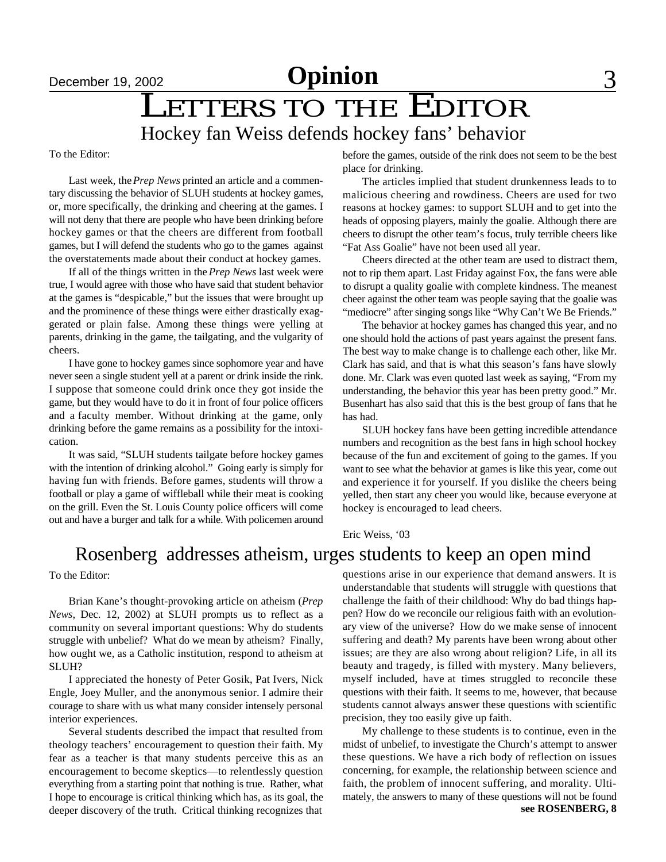# December 19, 2002<br> **LETTERS TO THE EDITOR**

### Hockey fan Weiss defends hockey fans' behavior

To the Editor:

Last week, the *Prep News* printed an article and a commentary discussing the behavior of SLUH students at hockey games, or, more specifically, the drinking and cheering at the games. I will not deny that there are people who have been drinking before hockey games or that the cheers are different from football games, but I will defend the students who go to the games against the overstatements made about their conduct at hockey games.

If all of the things written in the *Prep News* last week were true, I would agree with those who have said that student behavior at the games is "despicable," but the issues that were brought up and the prominence of these things were either drastically exaggerated or plain false. Among these things were yelling at parents, drinking in the game, the tailgating, and the vulgarity of cheers.

I have gone to hockey games since sophomore year and have never seen a single student yell at a parent or drink inside the rink. I suppose that someone could drink once they got inside the game, but they would have to do it in front of four police officers and a faculty member. Without drinking at the game, only drinking before the game remains as a possibility for the intoxication.

It was said, "SLUH students tailgate before hockey games with the intention of drinking alcohol." Going early is simply for having fun with friends. Before games, students will throw a football or play a game of wiffleball while their meat is cooking on the grill. Even the St. Louis County police officers will come out and have a burger and talk for a while. With policemen around before the games, outside of the rink does not seem to be the best place for drinking.

The articles implied that student drunkenness leads to to malicious cheering and rowdiness. Cheers are used for two reasons at hockey games: to support SLUH and to get into the heads of opposing players, mainly the goalie. Although there are cheers to disrupt the other team's focus, truly terrible cheers like "Fat Ass Goalie" have not been used all year.

Cheers directed at the other team are used to distract them, not to rip them apart. Last Friday against Fox, the fans were able to disrupt a quality goalie with complete kindness. The meanest cheer against the other team was people saying that the goalie was "mediocre" after singing songs like "Why Can't We Be Friends."

The behavior at hockey games has changed this year, and no one should hold the actions of past years against the present fans. The best way to make change is to challenge each other, like Mr. Clark has said, and that is what this season's fans have slowly done. Mr. Clark was even quoted last week as saying, "From my understanding, the behavior this year has been pretty good." Mr. Busenhart has also said that this is the best group of fans that he has had.

SLUH hockey fans have been getting incredible attendance numbers and recognition as the best fans in high school hockey because of the fun and excitement of going to the games. If you want to see what the behavior at games is like this year, come out and experience it for yourself. If you dislike the cheers being yelled, then start any cheer you would like, because everyone at hockey is encouraged to lead cheers.

Eric Weiss, '03

### Rosenberg addresses atheism, urges students to keep an open mind

To the Editor:

Brian Kane's thought-provoking article on atheism (*Prep News*, Dec. 12, 2002) at SLUH prompts us to reflect as a community on several important questions: Why do students struggle with unbelief? What do we mean by atheism? Finally, how ought we, as a Catholic institution, respond to atheism at SLUH?

I appreciated the honesty of Peter Gosik, Pat Ivers, Nick Engle, Joey Muller, and the anonymous senior. I admire their courage to share with us what many consider intensely personal interior experiences.

Several students described the impact that resulted from theology teachers' encouragement to question their faith. My fear as a teacher is that many students perceive this as an encouragement to become skeptics—to relentlessly question everything from a starting point that nothing is true. Rather, what I hope to encourage is critical thinking which has, as its goal, the deeper discovery of the truth. Critical thinking recognizes that

questions arise in our experience that demand answers. It is understandable that students will struggle with questions that challenge the faith of their childhood: Why do bad things happen? How do we reconcile our religious faith with an evolutionary view of the universe? How do we make sense of innocent suffering and death? My parents have been wrong about other issues; are they are also wrong about religion? Life, in all its beauty and tragedy, is filled with mystery. Many believers, myself included, have at times struggled to reconcile these questions with their faith. It seems to me, however, that because students cannot always answer these questions with scientific precision, they too easily give up faith.

My challenge to these students is to continue, even in the midst of unbelief, to investigate the Church's attempt to answer these questions. We have a rich body of reflection on issues concerning, for example, the relationship between science and faith, the problem of innocent suffering, and morality. Ultimately, the answers to many of these questions will not be found **see ROSENBERG, 8**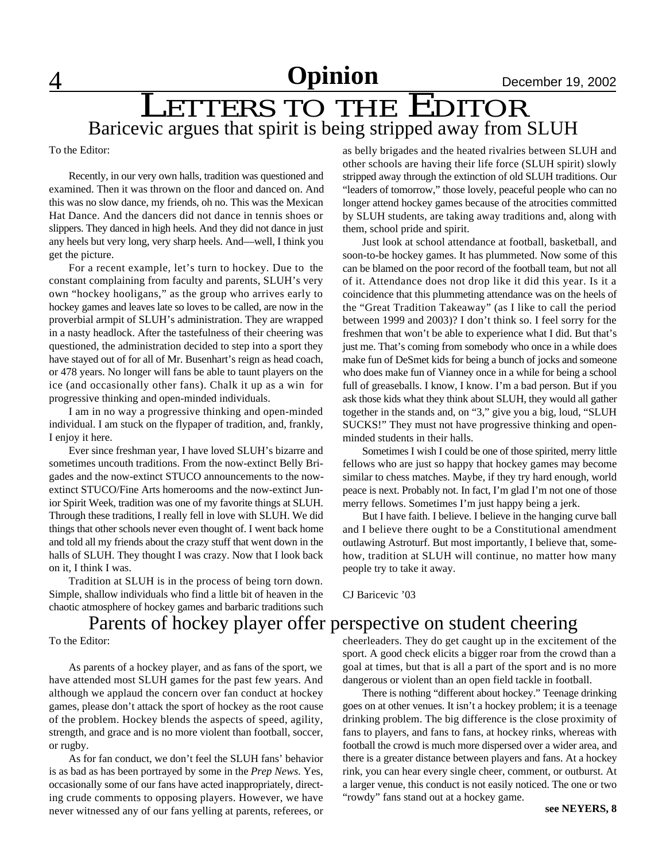## Baricevic argues that spirit is being stripped away from SLUH **LETTERS TO THE EDITOR**

To the Editor:

Recently, in our very own halls, tradition was questioned and examined. Then it was thrown on the floor and danced on. And this was no slow dance, my friends, oh no. This was the Mexican Hat Dance. And the dancers did not dance in tennis shoes or slippers. They danced in high heels. And they did not dance in just any heels but very long, very sharp heels. And—well, I think you get the picture.

For a recent example, let's turn to hockey. Due to the constant complaining from faculty and parents, SLUH's very own "hockey hooligans," as the group who arrives early to hockey games and leaves late so loves to be called, are now in the proverbial armpit of SLUH's administration. They are wrapped in a nasty headlock. After the tastefulness of their cheering was questioned, the administration decided to step into a sport they have stayed out of for all of Mr. Busenhart's reign as head coach, or 478 years. No longer will fans be able to taunt players on the ice (and occasionally other fans). Chalk it up as a win for progressive thinking and open-minded individuals.

I am in no way a progressive thinking and open-minded individual. I am stuck on the flypaper of tradition, and, frankly, I enjoy it here.

Ever since freshman year, I have loved SLUH's bizarre and sometimes uncouth traditions. From the now-extinct Belly Brigades and the now-extinct STUCO announcements to the nowextinct STUCO/Fine Arts homerooms and the now-extinct Junior Spirit Week, tradition was one of my favorite things at SLUH. Through these traditions, I really fell in love with SLUH. We did things that other schools never even thought of. I went back home and told all my friends about the crazy stuff that went down in the halls of SLUH. They thought I was crazy. Now that I look back on it, I think I was.

Tradition at SLUH is in the process of being torn down. Simple, shallow individuals who find a little bit of heaven in the chaotic atmosphere of hockey games and barbaric traditions such other schools are having their life force (SLUH spirit) slowly stripped away through the extinction of old SLUH traditions. Our "leaders of tomorrow," those lovely, peaceful people who can no longer attend hockey games because of the atrocities committed by SLUH students, are taking away traditions and, along with them, school pride and spirit.

as belly brigades and the heated rivalries between SLUH and

Just look at school attendance at football, basketball, and soon-to-be hockey games. It has plummeted. Now some of this can be blamed on the poor record of the football team, but not all of it. Attendance does not drop like it did this year. Is it a coincidence that this plummeting attendance was on the heels of the "Great Tradition Takeaway" (as I like to call the period between 1999 and 2003)? I don't think so. I feel sorry for the freshmen that won't be able to experience what I did. But that's just me. That's coming from somebody who once in a while does make fun of DeSmet kids for being a bunch of jocks and someone who does make fun of Vianney once in a while for being a school full of greaseballs. I know, I know. I'm a bad person. But if you ask those kids what they think about SLUH, they would all gather together in the stands and, on "3," give you a big, loud, "SLUH SUCKS!" They must not have progressive thinking and openminded students in their halls.

Sometimes I wish I could be one of those spirited, merry little fellows who are just so happy that hockey games may become similar to chess matches. Maybe, if they try hard enough, world peace is next. Probably not. In fact, I'm glad I'm not one of those merry fellows. Sometimes I'm just happy being a jerk.

But I have faith. I believe. I believe in the hanging curve ball and I believe there ought to be a Constitutional amendment outlawing Astroturf. But most importantly, I believe that, somehow, tradition at SLUH will continue, no matter how many people try to take it away.

CJ Baricevic '03

### Parents of hockey player offer perspective on student cheering

To the Editor:

As parents of a hockey player, and as fans of the sport, we have attended most SLUH games for the past few years. And although we applaud the concern over fan conduct at hockey games, please don't attack the sport of hockey as the root cause of the problem. Hockey blends the aspects of speed, agility, strength, and grace and is no more violent than football, soccer, or rugby.

As for fan conduct, we don't feel the SLUH fans' behavior is as bad as has been portrayed by some in the *Prep News*. Yes, occasionally some of our fans have acted inappropriately, directing crude comments to opposing players. However, we have never witnessed any of our fans yelling at parents, referees, or cheerleaders. They do get caught up in the excitement of the sport. A good check elicits a bigger roar from the crowd than a goal at times, but that is all a part of the sport and is no more dangerous or violent than an open field tackle in football.

There is nothing "different about hockey." Teenage drinking goes on at other venues. It isn't a hockey problem; it is a teenage drinking problem. The big difference is the close proximity of fans to players, and fans to fans, at hockey rinks, whereas with football the crowd is much more dispersed over a wider area, and there is a greater distance between players and fans. At a hockey rink, you can hear every single cheer, comment, or outburst. At a larger venue, this conduct is not easily noticed. The one or two "rowdy" fans stand out at a hockey game.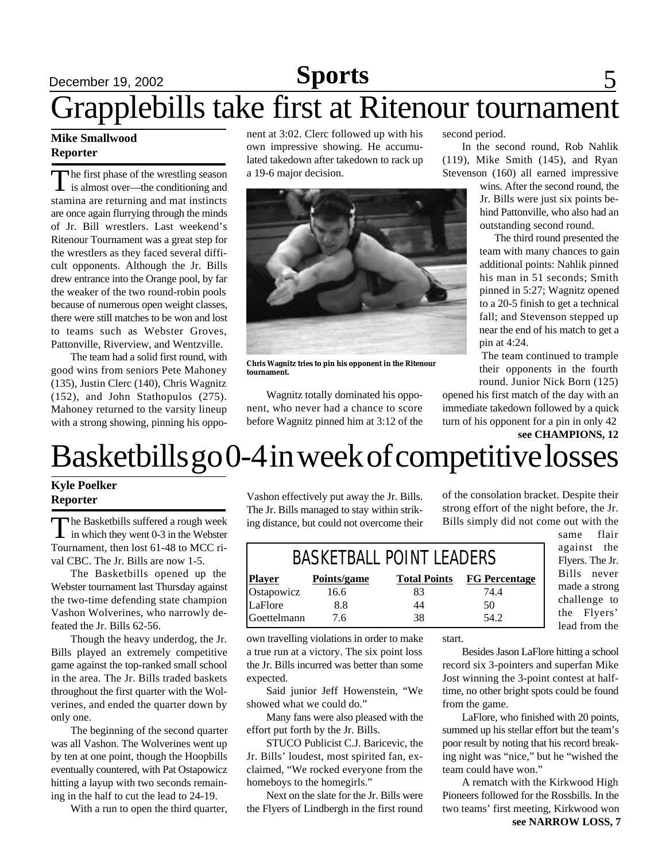## **December 19, 2002 Sports** 5 Grapplebills take first at Ritenour tournament

#### **Mike Smallwood Reporter**

The first phase of the wrestling season<br>is almost over—the conditioning and The first phase of the wrestling season stamina are returning and mat instincts are once again flurrying through the minds of Jr. Bill wrestlers. Last weekend's Ritenour Tournament was a great step for the wrestlers as they faced several difficult opponents. Although the Jr. Bills drew entrance into the Orange pool, by far the weaker of the two round-robin pools because of numerous open weight classes, there were still matches to be won and lost to teams such as Webster Groves, Pattonville, Riverview, and Wentzville.

The team had a solid first round, with good wins from seniors Pete Mahoney (135), Justin Clerc (140), Chris Wagnitz (152), and John Stathopulos (275). Mahoney returned to the varsity lineup with a strong showing, pinning his opponent at 3:02. Clerc followed up with his own impressive showing. He accumulated takedown after takedown to rack up a 19-6 major decision.



**Chris Wagnitz tries to pin his opponent in the Ritenour tournament.**

Wagnitz totally dominated his opponent, who never had a chance to score before Wagnitz pinned him at 3:12 of the second period.

In the second round, Rob Nahlik (119), Mike Smith (145), and Ryan Stevenson (160) all earned impressive

> wins. After the second round, the Jr. Bills were just six points behind Pattonville, who also had an outstanding second round.

> The third round presented the team with many chances to gain additional points: Nahlik pinned his man in 51 seconds; Smith pinned in 5:27; Wagnitz opened to a 20-5 finish to get a technical fall; and Stevenson stepped up near the end of his match to get a pin at 4:24.

The team continued to trample their opponents in the fourth round. Junior Nick Born (125)

opened his first match of the day with an immediate takedown followed by a quick turn of his opponent for a pin in only 42 **see CHAMPIONS, 12**

## Basketbills go 0-4 in week of competitive losses

#### **Kyle Poelker Reporter**

The Basketbills suffered a rough week<br>in which they went 0-3 in the Webster The Basketbills suffered a rough week Tournament, then lost 61-48 to MCC rival CBC. The Jr. Bills are now 1-5.

The Basketbills opened up the Webster tournament last Thursday against the two-time defending state champion Vashon Wolverines, who narrowly defeated the Jr. Bills 62-56.

Though the heavy underdog, the Jr. Bills played an extremely competitive game against the top-ranked small school in the area. The Jr. Bills traded baskets throughout the first quarter with the Wolverines, and ended the quarter down by only one.

The beginning of the second quarter was all Vashon. The Wolverines went up by ten at one point, though the Hoopbills eventually countered, with Pat Ostapowicz hitting a layup with two seconds remaining in the half to cut the lead to 24-19.

With a run to open the third quarter,

Vashon effectively put away the Jr. Bills. The Jr. Bills managed to stay within striking distance, but could not overcome their of the consolation bracket. Despite their strong effort of the night before, the Jr. Bills simply did not come out with the

| <b>BASKETBALL POINT LEADERS</b> |             |                     |                      |
|---------------------------------|-------------|---------------------|----------------------|
| <b>Player</b>                   | Points/game | <b>Total Points</b> | <b>FG Percentage</b> |
| Ostapowicz                      | 16.6        | 83                  | 74.4                 |
| LaFlore                         | 8.8         | 44                  | 50                   |
| Goettelmann                     | 7.6         | 38                  | 54.2                 |

against the Flyers. The Jr. Bills never made a strong challenge to the Flyers' lead from the

same flair

own travelling violations in order to make a true run at a victory. The six point loss the Jr. Bills incurred was better than some expected.

Said junior Jeff Howenstein, "We showed what we could do."

Many fans were also pleased with the effort put forth by the Jr. Bills.

STUCO Publicist C.J. Baricevic, the Jr. Bills' loudest, most spirited fan, exclaimed, "We rocked everyone from the homeboys to the homegirls."

Next on the slate for the Jr. Bills were the Flyers of Lindbergh in the first round start.

Besides Jason LaFlore hitting a school record six 3-pointers and superfan Mike Jost winning the 3-point contest at halftime, no other bright spots could be found from the game.

LaFlore, who finished with 20 points, summed up his stellar effort but the team's poor result by noting that his record breaking night was "nice," but he "wished the team could have won."

A rematch with the Kirkwood High Pioneers followed for the Rossbills. In the two teams' first meeting, Kirkwood won **see NARROW LOSS, 7**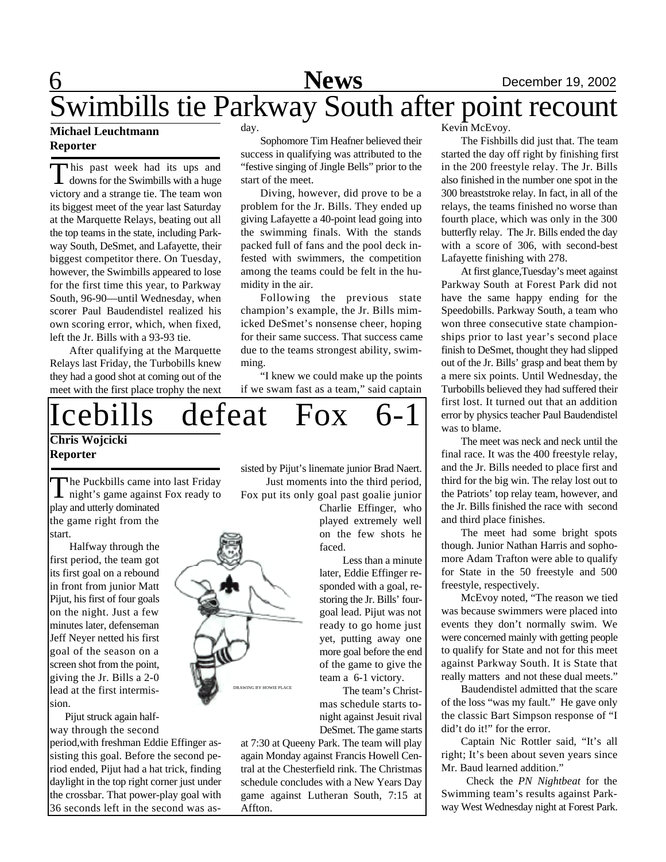### 6 **News** December 19, 2002 Swimbills tie Parkway South after point recount

#### **Michael Leuchtmann Reporter**

This past week had its ups and<br>downs for the Swimbills with a huge his past week had its ups and victory and a strange tie. The team won its biggest meet of the year last Saturday at the Marquette Relays, beating out all the top teams in the state, including Parkway South, DeSmet, and Lafayette, their biggest competitor there. On Tuesday, however, the Swimbills appeared to lose for the first time this year, to Parkway South, 96-90—until Wednesday, when scorer Paul Baudendistel realized his own scoring error, which, when fixed, left the Jr. Bills with a 93-93 tie.

After qualifying at the Marquette Relays last Friday, the Turbobills knew they had a good shot at coming out of the meet with the first place trophy the next day.

Sophomore Tim Heafner believed their success in qualifying was attributed to the "festive singing of Jingle Bells" prior to the start of the meet.

Diving, however, did prove to be a problem for the Jr. Bills. They ended up giving Lafayette a 40-point lead going into the swimming finals. With the stands packed full of fans and the pool deck infested with swimmers, the competition among the teams could be felt in the humidity in the air.

Following the previous state champion's example, the Jr. Bills mimicked DeSmet's nonsense cheer, hoping for their same success. That success came due to the teams strongest ability, swimming.

"I knew we could make up the points if we swam fast as a team," said captain

### **Chris Wojcicki Reporter** Icebills defeat Fox

The Puckbills came into last Friday<br>night's game against Fox ready to The Puckbills came into last Friday play and utterly dominated the game right from the

start. Halfway through the first period, the team got its first goal on a rebound in front from junior Matt Pijut, his first of four goals on the night. Just a few minutes later, defenseman Jeff Neyer netted his first goal of the season on a screen shot from the point, giving the Jr. Bills a 2-0 lead at the first intermission.

 Pijut struck again halfway through the second

period,with freshman Eddie Effinger assisting this goal. Before the second period ended, Pijut had a hat trick, finding daylight in the top right corner just under the crossbar. That power-play goal with 36 seconds left in the second was assisted by Pijut's linemate junior Brad Naert. Just moments into the third period, Fox put its only goal past goalie junior

> Charlie Effinger, who played extremely well on the few shots he faced.

 Less than a minute later, Eddie Effinger responded with a goal, restoring the Jr. Bills' fourgoal lead. Pijut was not ready to go home just yet, putting away one more goal before the end of the game to give the team a 6-1 victory.

 The team's Christmas schedule starts tonight against Jesuit rival DeSmet. The game starts

at 7:30 at Queeny Park. The team will play again Monday against Francis Howell Central at the Chesterfield rink. The Christmas schedule concludes with a New Years Day game against Lutheran South, 7:15 at Affton.

Kevin McEvov.

The Fishbills did just that. The team started the day off right by finishing first in the 200 freestyle relay. The Jr. Bills also finished in the number one spot in the 300 breaststroke relay. In fact, in all of the relays, the teams finished no worse than fourth place, which was only in the 300 butterfly relay. The Jr. Bills ended the day with a score of 306, with second-best Lafayette finishing with 278.

At first glance,Tuesday's meet against Parkway South at Forest Park did not have the same happy ending for the Speedobills. Parkway South, a team who won three consecutive state championships prior to last year's second place finish to DeSmet, thought they had slipped out of the Jr. Bills' grasp and beat them by a mere six points. Until Wednesday, the Turbobills believed they had suffered their first lost. It turned out that an addition error by physics teacher Paul Baudendistel was to blame.

The meet was neck and neck until the final race. It was the 400 freestyle relay, and the Jr. Bills needed to place first and third for the big win. The relay lost out to the Patriots' top relay team, however, and the Jr. Bills finished the race with second and third place finishes.

The meet had some bright spots though. Junior Nathan Harris and sophomore Adam Trafton were able to qualify for State in the 50 freestyle and 500 freestyle, respectively.

McEvoy noted, "The reason we tied was because swimmers were placed into events they don't normally swim. We were concerned mainly with getting people to qualify for State and not for this meet against Parkway South. It is State that really matters and not these dual meets."

Baudendistel admitted that the scare of the loss "was my fault." He gave only the classic Bart Simpson response of "I did't do it!" for the error.

Captain Nic Rottler said, "It's all right; It's been about seven years since Mr. Baud learned addition."

Check the *PN Nightbeat* for the Swimming team's results against Parkway West Wednesday night at Forest Park.

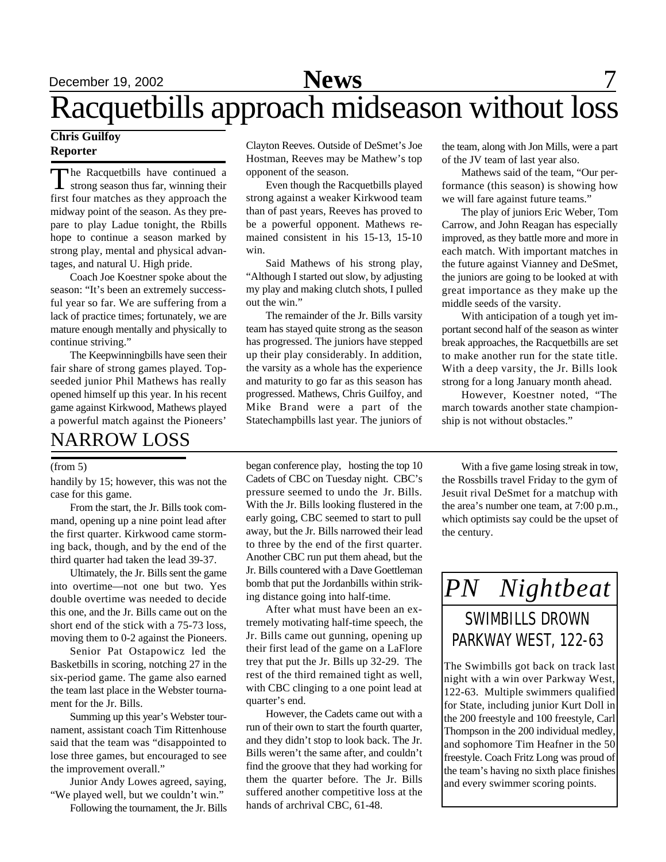### December 19, 2002 **News** 7

## Racquetbills approach midseason without loss

#### **Chris Guilfoy Reporter**

The Racquetbills have continued a<br>strong season thus far, winning their he Racquetbills have continued a first four matches as they approach the midway point of the season. As they prepare to play Ladue tonight, the Rbills hope to continue a season marked by strong play, mental and physical advantages, and natural U. High pride.

Coach Joe Koestner spoke about the season: "It's been an extremely successful year so far. We are suffering from a lack of practice times; fortunately, we are mature enough mentally and physically to continue striving."

The Keepwinningbills have seen their fair share of strong games played. Topseeded junior Phil Mathews has really opened himself up this year. In his recent game against Kirkwood, Mathews played a powerful match against the Pioneers'

### NARROW LOSS

#### (from 5)

handily by 15; however, this was not the case for this game.

From the start, the Jr. Bills took command, opening up a nine point lead after the first quarter. Kirkwood came storming back, though, and by the end of the third quarter had taken the lead 39-37.

Ultimately, the Jr. Bills sent the game into overtime—not one but two. Yes double overtime was needed to decide this one, and the Jr. Bills came out on the short end of the stick with a 75-73 loss, moving them to 0-2 against the Pioneers.

Senior Pat Ostapowicz led the Basketbills in scoring, notching 27 in the six-period game. The game also earned the team last place in the Webster tournament for the Jr. Bills.

Summing up this year's Webster tournament, assistant coach Tim Rittenhouse said that the team was "disappointed to lose three games, but encouraged to see the improvement overall."

Junior Andy Lowes agreed, saying, "We played well, but we couldn't win."

Following the tournament, the Jr. Bills

Clayton Reeves. Outside of DeSmet's Joe Hostman, Reeves may be Mathew's top opponent of the season.

Even though the Racquetbills played strong against a weaker Kirkwood team than of past years, Reeves has proved to be a powerful opponent. Mathews remained consistent in his 15-13, 15-10 win.

Said Mathews of his strong play, "Although I started out slow, by adjusting my play and making clutch shots, I pulled out the win."

The remainder of the Jr. Bills varsity team has stayed quite strong as the season has progressed. The juniors have stepped up their play considerably. In addition, the varsity as a whole has the experience and maturity to go far as this season has progressed. Mathews, Chris Guilfoy, and Mike Brand were a part of the Statechampbills last year. The juniors of the team, along with Jon Mills, were a part of the JV team of last year also.

Mathews said of the team, "Our performance (this season) is showing how we will fare against future teams."

The play of juniors Eric Weber, Tom Carrow, and John Reagan has especially improved, as they battle more and more in each match. With important matches in the future against Vianney and DeSmet, the juniors are going to be looked at with great importance as they make up the middle seeds of the varsity.

With anticipation of a tough yet important second half of the season as winter break approaches, the Racquetbills are set to make another run for the state title. With a deep varsity, the Jr. Bills look strong for a long January month ahead.

However, Koestner noted, "The march towards another state championship is not without obstacles."

began conference play, hosting the top 10 Cadets of CBC on Tuesday night. CBC's pressure seemed to undo the Jr. Bills. With the Jr. Bills looking flustered in the early going, CBC seemed to start to pull away, but the Jr. Bills narrowed their lead to three by the end of the first quarter. Another CBC run put them ahead, but the Jr. Bills countered with a Dave Goettleman bomb that put the Jordanbills within striking distance going into half-time.

After what must have been an extremely motivating half-time speech, the Jr. Bills came out gunning, opening up their first lead of the game on a LaFlore trey that put the Jr. Bills up 32-29. The rest of the third remained tight as well, with CBC clinging to a one point lead at quarter's end.

However, the Cadets came out with a run of their own to start the fourth quarter, and they didn't stop to look back. The Jr. Bills weren't the same after, and couldn't find the groove that they had working for them the quarter before. The Jr. Bills suffered another competitive loss at the hands of archrival CBC, 61-48.

With a five game losing streak in tow, the Rossbills travel Friday to the gym of Jesuit rival DeSmet for a matchup with the area's number one team, at 7:00 p.m., which optimists say could be the upset of the century.



The Swimbills got back on track last night with a win over Parkway West, 122-63. Multiple swimmers qualified for State, including junior Kurt Doll in the 200 freestyle and 100 freestyle, Carl Thompson in the 200 individual medley, and sophomore Tim Heafner in the 50 freestyle. Coach Fritz Long was proud of the team's having no sixth place finishes and every swimmer scoring points.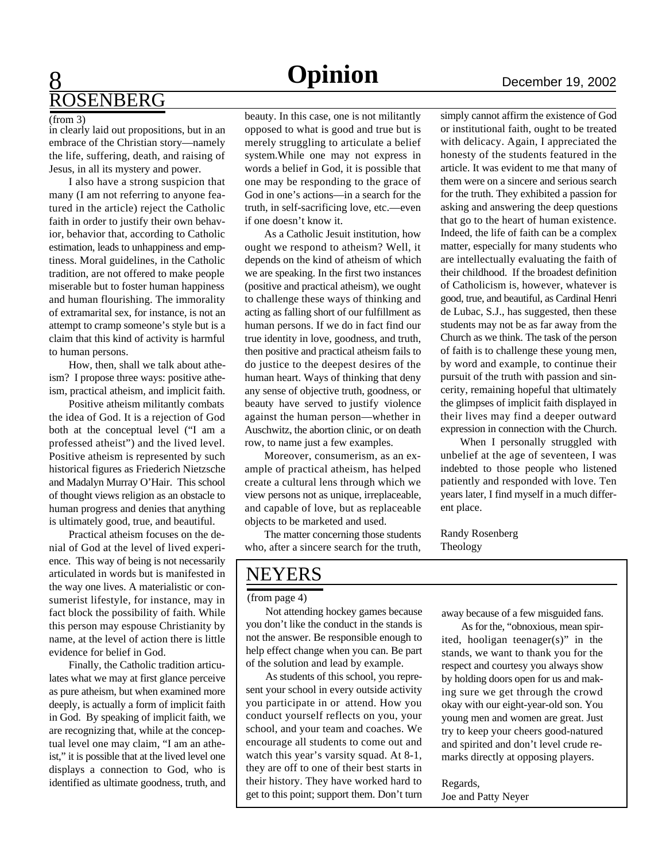### **8** December 19, 2002 ROSENBERG

#### (from 3)

in clearly laid out propositions, but in an embrace of the Christian story—namely the life, suffering, death, and raising of Jesus, in all its mystery and power.

I also have a strong suspicion that many (I am not referring to anyone featured in the article) reject the Catholic faith in order to justify their own behavior, behavior that, according to Catholic estimation, leads to unhappiness and emptiness. Moral guidelines, in the Catholic tradition, are not offered to make people miserable but to foster human happiness and human flourishing. The immorality of extramarital sex, for instance, is not an attempt to cramp someone's style but is a claim that this kind of activity is harmful to human persons.

How, then, shall we talk about atheism? I propose three ways: positive atheism, practical atheism, and implicit faith.

Positive atheism militantly combats the idea of God. It is a rejection of God both at the conceptual level ("I am a professed atheist") and the lived level. Positive atheism is represented by such historical figures as Friederich Nietzsche and Madalyn Murray O'Hair. This school of thought views religion as an obstacle to human progress and denies that anything is ultimately good, true, and beautiful.

Practical atheism focuses on the denial of God at the level of lived experience. This way of being is not necessarily articulated in words but is manifested in the way one lives. A materialistic or consumerist lifestyle, for instance, may in fact block the possibility of faith. While this person may espouse Christianity by name, at the level of action there is little evidence for belief in God.

Finally, the Catholic tradition articulates what we may at first glance perceive as pure atheism, but when examined more deeply, is actually a form of implicit faith in God. By speaking of implicit faith, we are recognizing that, while at the conceptual level one may claim, "I am an atheist," it is possible that at the lived level one displays a connection to God, who is identified as ultimate goodness, truth, and beauty. In this case, one is not militantly opposed to what is good and true but is merely struggling to articulate a belief system.While one may not express in words a belief in God, it is possible that one may be responding to the grace of God in one's actions—in a search for the truth, in self-sacrificing love, etc.—even if one doesn't know it.

As a Catholic Jesuit institution, how ought we respond to atheism? Well, it depends on the kind of atheism of which we are speaking. In the first two instances (positive and practical atheism), we ought to challenge these ways of thinking and acting as falling short of our fulfillment as human persons. If we do in fact find our true identity in love, goodness, and truth, then positive and practical atheism fails to do justice to the deepest desires of the human heart. Ways of thinking that deny any sense of objective truth, goodness, or beauty have served to justify violence against the human person—whether in Auschwitz, the abortion clinic, or on death row, to name just a few examples.

Moreover, consumerism, as an example of practical atheism, has helped create a cultural lens through which we view persons not as unique, irreplaceable, and capable of love, but as replaceable objects to be marketed and used.

The matter concerning those students who, after a sincere search for the truth,

simply cannot affirm the existence of God or institutional faith, ought to be treated with delicacy. Again, I appreciated the honesty of the students featured in the article. It was evident to me that many of them were on a sincere and serious search for the truth. They exhibited a passion for asking and answering the deep questions that go to the heart of human existence. Indeed, the life of faith can be a complex matter, especially for many students who are intellectually evaluating the faith of their childhood. If the broadest definition of Catholicism is, however, whatever is good, true, and beautiful, as Cardinal Henri de Lubac, S.J., has suggested, then these students may not be as far away from the Church as we think. The task of the person of faith is to challenge these young men, by word and example, to continue their pursuit of the truth with passion and sincerity, remaining hopeful that ultimately the glimpses of implicit faith displayed in their lives may find a deeper outward expression in connection with the Church.

When I personally struggled with unbelief at the age of seventeen, I was indebted to those people who listened patiently and responded with love. Ten years later, I find myself in a much different place.

Randy Rosenberg Theology

### NEYERS

#### (from page 4)

Not attending hockey games because you don't like the conduct in the stands is not the answer. Be responsible enough to help effect change when you can. Be part of the solution and lead by example.

As students of this school, you represent your school in every outside activity you participate in or attend. How you conduct yourself reflects on you, your school, and your team and coaches. We encourage all students to come out and watch this year's varsity squad. At 8-1, they are off to one of their best starts in their history. They have worked hard to get to this point; support them. Don't turn

away because of a few misguided fans.

As for the, "obnoxious, mean spirited, hooligan teenager(s)" in the stands, we want to thank you for the respect and courtesy you always show by holding doors open for us and making sure we get through the crowd okay with our eight-year-old son. You young men and women are great. Just try to keep your cheers good-natured and spirited and don't level crude remarks directly at opposing players.

Regards, Joe and Patty Neyer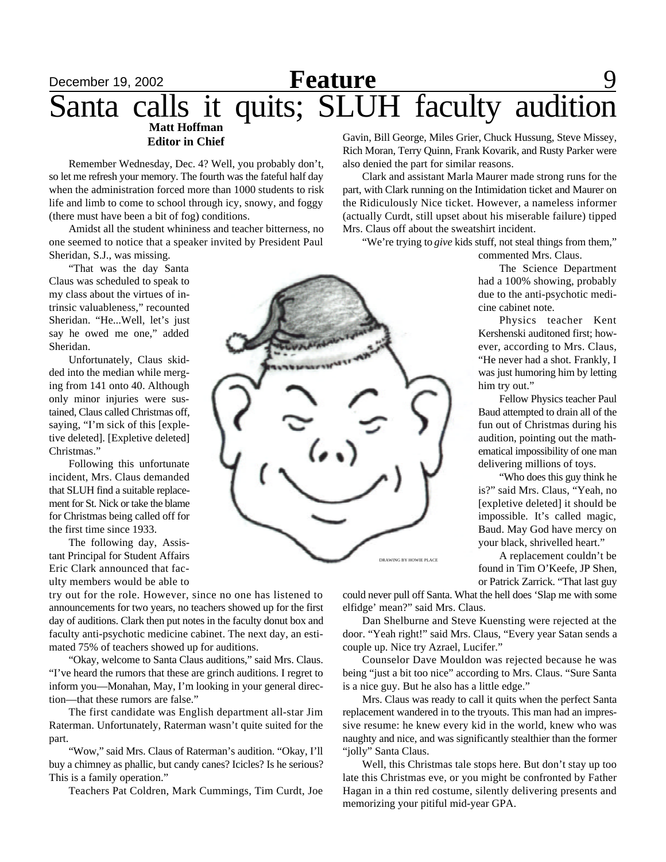#### December 19, 2002 **Reature** 9 **Matt Hoffman Editor in Chief** Santa calls it quits; SLUH faculty audition **Feature**

Remember Wednesday, Dec. 4? Well, you probably don't, so let me refresh your memory. The fourth was the fateful half day when the administration forced more than 1000 students to risk life and limb to come to school through icy, snowy, and foggy (there must have been a bit of fog) conditions.

Amidst all the student whininess and teacher bitterness, no one seemed to notice that a speaker invited by President Paul Sheridan, S.J., was missing.

"That was the day Santa Claus was scheduled to speak to my class about the virtues of intrinsic valuableness," recounted Sheridan. "He...Well, let's just say he owed me one," added Sheridan.

Unfortunately, Claus skidded into the median while merging from 141 onto 40. Although only minor injuries were sustained, Claus called Christmas off, saying, "I'm sick of this [expletive deleted]. [Expletive deleted] Christmas."

Following this unfortunate incident, Mrs. Claus demanded that SLUH find a suitable replacement for St. Nick or take the blame for Christmas being called off for the first time since 1933.

The following day, Assistant Principal for Student Affairs Eric Clark announced that faculty members would be able to

try out for the role. However, since no one has listened to announcements for two years, no teachers showed up for the first day of auditions. Clark then put notes in the faculty donut box and faculty anti-psychotic medicine cabinet. The next day, an estimated 75% of teachers showed up for auditions.

"Okay, welcome to Santa Claus auditions," said Mrs. Claus. "I've heard the rumors that these are grinch auditions. I regret to inform you—Monahan, May, I'm looking in your general direction—that these rumors are false."

The first candidate was English department all-star Jim Raterman. Unfortunately, Raterman wasn't quite suited for the part.

"Wow," said Mrs. Claus of Raterman's audition. "Okay, I'll buy a chimney as phallic, but candy canes? Icicles? Is he serious? This is a family operation."

Teachers Pat Coldren, Mark Cummings, Tim Curdt, Joe

Gavin, Bill George, Miles Grier, Chuck Hussung, Steve Missey, Rich Moran, Terry Quinn, Frank Kovarik, and Rusty Parker were also denied the part for similar reasons.

Clark and assistant Marla Maurer made strong runs for the part, with Clark running on the Intimidation ticket and Maurer on the Ridiculously Nice ticket. However, a nameless informer (actually Curdt, still upset about his miserable failure) tipped Mrs. Claus off about the sweatshirt incident.

"We're trying to *give* kids stuff, not steal things from them,"

commented Mrs. Claus.

The Science Department had a 100% showing, probably due to the anti-psychotic medicine cabinet note.

Physics teacher Kent Kershenski auditoned first; however, according to Mrs. Claus, "He never had a shot. Frankly, I was just humoring him by letting him try out."

Fellow Physics teacher Paul Baud attempted to drain all of the fun out of Christmas during his audition, pointing out the mathematical impossibility of one man delivering millions of toys.

"Who does this guy think he is?" said Mrs. Claus, "Yeah, no [expletive deleted] it should be impossible. It's called magic, Baud. May God have mercy on your black, shrivelled heart."

A replacement couldn't be found in Tim O'Keefe, JP Shen, or Patrick Zarrick. "That last guy

could never pull off Santa. What the hell does 'Slap me with some elfidge' mean?" said Mrs. Claus.

Dan Shelburne and Steve Kuensting were rejected at the door. "Yeah right!" said Mrs. Claus, "Every year Satan sends a couple up. Nice try Azrael, Lucifer."

Counselor Dave Mouldon was rejected because he was being "just a bit too nice" according to Mrs. Claus. "Sure Santa is a nice guy. But he also has a little edge."

Mrs. Claus was ready to call it quits when the perfect Santa replacement wandered in to the tryouts. This man had an impressive resume: he knew every kid in the world, knew who was naughty and nice, and was significantly stealthier than the former "jolly" Santa Claus.

Well, this Christmas tale stops here. But don't stay up too late this Christmas eve, or you might be confronted by Father Hagan in a thin red costume, silently delivering presents and memorizing your pitiful mid-year GPA.

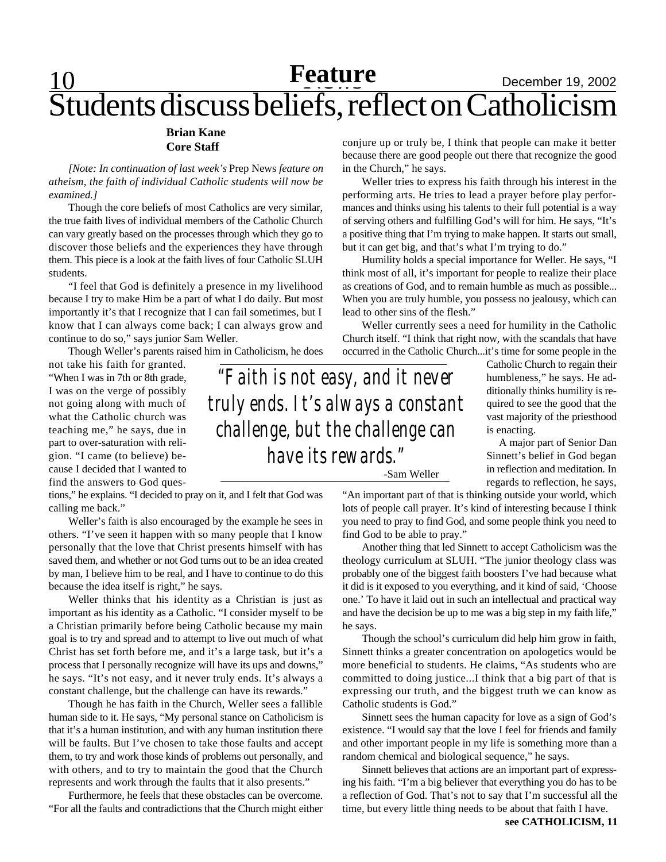## **Feature** December 19, 2002 Students discuss beliefs, reflect on Catholicism

#### **Brian Kane Core Staff**

*[Note: In continuation of last week's* Prep News *feature on atheism, the faith of individual Catholic students will now be examined.]*

Though the core beliefs of most Catholics are very similar, the true faith lives of individual members of the Catholic Church can vary greatly based on the processes through which they go to discover those beliefs and the experiences they have through them. This piece is a look at the faith lives of four Catholic SLUH students.

"I feel that God is definitely a presence in my livelihood because I try to make Him be a part of what I do daily. But most importantly it's that I recognize that I can fail sometimes, but I know that I can always come back; I can always grow and continue to do so," says junior Sam Weller.

Though Weller's parents raised him in Catholicism, he does

not take his faith for granted. "When I was in 7th or 8th grade, I was on the verge of possibly not going along with much of what the Catholic church was teaching me," he says, due in part to over-saturation with religion. "I came (to believe) because I decided that I wanted to find the answers to God ques-

tions," he explains. "I decided to pray on it, and I felt that God was calling me back."

Weller's faith is also encouraged by the example he sees in others. "I've seen it happen with so many people that I know personally that the love that Christ presents himself with has saved them, and whether or not God turns out to be an idea created by man, I believe him to be real, and I have to continue to do this because the idea itself is right," he says.

Weller thinks that his identity as a Christian is just as important as his identity as a Catholic. "I consider myself to be a Christian primarily before being Catholic because my main goal is to try and spread and to attempt to live out much of what Christ has set forth before me, and it's a large task, but it's a process that I personally recognize will have its ups and downs," he says. "It's not easy, and it never truly ends. It's always a constant challenge, but the challenge can have its rewards."

Though he has faith in the Church, Weller sees a fallible human side to it. He says, "My personal stance on Catholicism is that it's a human institution, and with any human institution there will be faults. But I've chosen to take those faults and accept them, to try and work those kinds of problems out personally, and with others, and to try to maintain the good that the Church represents and work through the faults that it also presents."

Furthermore, he feels that these obstacles can be overcome. "For all the faults and contradictions that the Church might either conjure up or truly be, I think that people can make it better because there are good people out there that recognize the good in the Church," he says.

Weller tries to express his faith through his interest in the performing arts. He tries to lead a prayer before play performances and thinks using his talents to their full potential is a way of serving others and fulfilling God's will for him. He says, "It's a positive thing that I'm trying to make happen. It starts out small, but it can get big, and that's what I'm trying to do."

Humility holds a special importance for Weller. He says, "I think most of all, it's important for people to realize their place as creations of God, and to remain humble as much as possible... When you are truly humble, you possess no jealousy, which can lead to other sins of the flesh."

Weller currently sees a need for humility in the Catholic Church itself. "I think that right now, with the scandals that have occurred in the Catholic Church...it's time for some people in the

> Catholic Church to regain their humbleness," he says. He additionally thinks humility is required to see the good that the vast majority of the priesthood is enacting.

> A major part of Senior Dan Sinnett's belief in God began in reflection and meditation. In regards to reflection, he says,

*"Faith is not easy, and it never truly ends. It's always a constant challenge, but the challenge can have its rewards."* -Sam Weller

> "An important part of that is thinking outside your world, which lots of people call prayer. It's kind of interesting because I think you need to pray to find God, and some people think you need to find God to be able to pray."

> Another thing that led Sinnett to accept Catholicism was the theology curriculum at SLUH. "The junior theology class was probably one of the biggest faith boosters I've had because what it did is it exposed to you everything, and it kind of said, 'Choose one.' To have it laid out in such an intellectual and practical way and have the decision be up to me was a big step in my faith life," he says.

> Though the school's curriculum did help him grow in faith, Sinnett thinks a greater concentration on apologetics would be more beneficial to students. He claims, "As students who are committed to doing justice...I think that a big part of that is expressing our truth, and the biggest truth we can know as Catholic students is God."

> Sinnett sees the human capacity for love as a sign of God's existence. "I would say that the love I feel for friends and family and other important people in my life is something more than a random chemical and biological sequence," he says.

> Sinnett believes that actions are an important part of expressing his faith. "I'm a big believer that everything you do has to be a reflection of God. That's not to say that I'm successful all the time, but every little thing needs to be about that faith I have.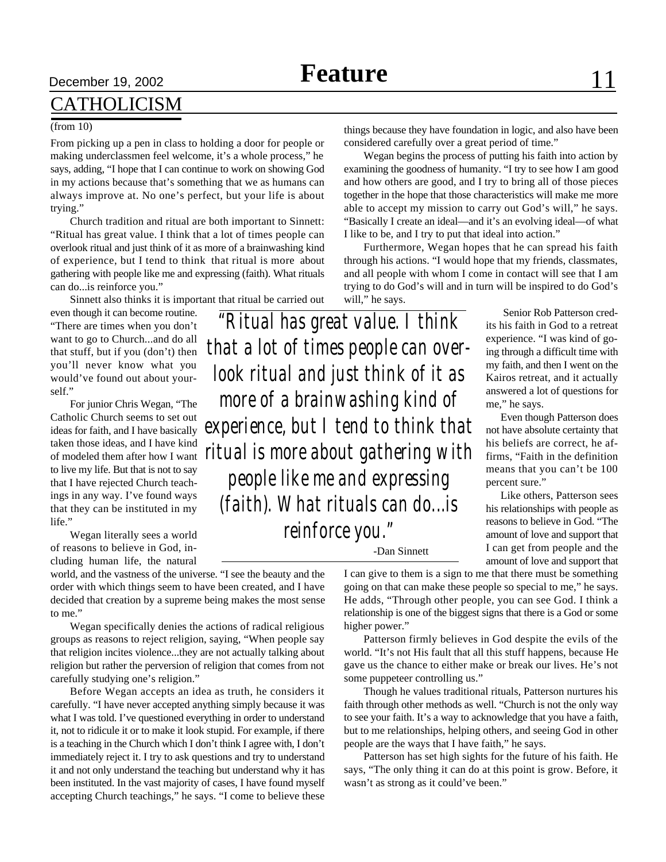### CATHOLICISM

#### (from 10)

From picking up a pen in class to holding a door for people or making underclassmen feel welcome, it's a whole process," he says, adding, "I hope that I can continue to work on showing God in my actions because that's something that we as humans can always improve at. No one's perfect, but your life is about trying."

Church tradition and ritual are both important to Sinnett: "Ritual has great value. I think that a lot of times people can overlook ritual and just think of it as more of a brainwashing kind of experience, but I tend to think that ritual is more about gathering with people like me and expressing (faith). What rituals can do...is reinforce you."

Sinnett also thinks it is important that ritual be carried out

even though it can become routine. "There are times when you don't want to go to Church...and do all that stuff, but if you (don't) then you'll never know what you would've found out about yourself."

For junior Chris Wegan, "The Catholic Church seems to set out ideas for faith, and I have basically taken those ideas, and I have kind of modeled them after how I want to live my life. But that is not to say that I have rejected Church teachings in any way. I've found ways that they can be instituted in my life."

Wegan literally sees a world of reasons to believe in God, including human life, the natural

world, and the vastness of the universe. "I see the beauty and the order with which things seem to have been created, and I have decided that creation by a supreme being makes the most sense to me."

Wegan specifically denies the actions of radical religious groups as reasons to reject religion, saying, "When people say that religion incites violence...they are not actually talking about religion but rather the perversion of religion that comes from not carefully studying one's religion."

Before Wegan accepts an idea as truth, he considers it carefully. "I have never accepted anything simply because it was what I was told. I've questioned everything in order to understand it, not to ridicule it or to make it look stupid. For example, if there is a teaching in the Church which I don't think I agree with, I don't immediately reject it. I try to ask questions and try to understand it and not only understand the teaching but understand why it has been instituted. In the vast majority of cases, I have found myself accepting Church teachings," he says. "I come to believe these

things because they have foundation in logic, and also have been considered carefully over a great period of time."

Wegan begins the process of putting his faith into action by examining the goodness of humanity. "I try to see how I am good and how others are good, and I try to bring all of those pieces together in the hope that those characteristics will make me more able to accept my mission to carry out God's will," he says. "Basically I create an ideal—and it's an evolving ideal—of what I like to be, and I try to put that ideal into action."

Furthermore, Wegan hopes that he can spread his faith through his actions. "I would hope that my friends, classmates, and all people with whom I come in contact will see that I am trying to do God's will and in turn will be inspired to do God's will," he says.

*"Ritual has great value. I think that a lot of times people can overlook ritual and just think of it as more of a brainwashing kind of experience, but I tend to think that ritual is more about gathering with people like me and expressing (faith). What rituals can do...is reinforce you."*

 Senior Rob Patterson credits his faith in God to a retreat experience. "I was kind of going through a difficult time with my faith, and then I went on the Kairos retreat, and it actually answered a lot of questions for me," he says.

Even though Patterson does not have absolute certainty that his beliefs are correct, he affirms, "Faith in the definition means that you can't be 100 percent sure."

Like others, Patterson sees his relationships with people as reasons to believe in God. "The amount of love and support that I can get from people and the amount of love and support that

-Dan Sinnett

I can give to them is a sign to me that there must be something going on that can make these people so special to me," he says. He adds, "Through other people, you can see God. I think a relationship is one of the biggest signs that there is a God or some higher power."

Patterson firmly believes in God despite the evils of the world. "It's not His fault that all this stuff happens, because He gave us the chance to either make or break our lives. He's not some puppeteer controlling us."

Though he values traditional rituals, Patterson nurtures his faith through other methods as well. "Church is not the only way to see your faith. It's a way to acknowledge that you have a faith, but to me relationships, helping others, and seeing God in other people are the ways that I have faith," he says.

Patterson has set high sights for the future of his faith. He says, "The only thing it can do at this point is grow. Before, it wasn't as strong as it could've been."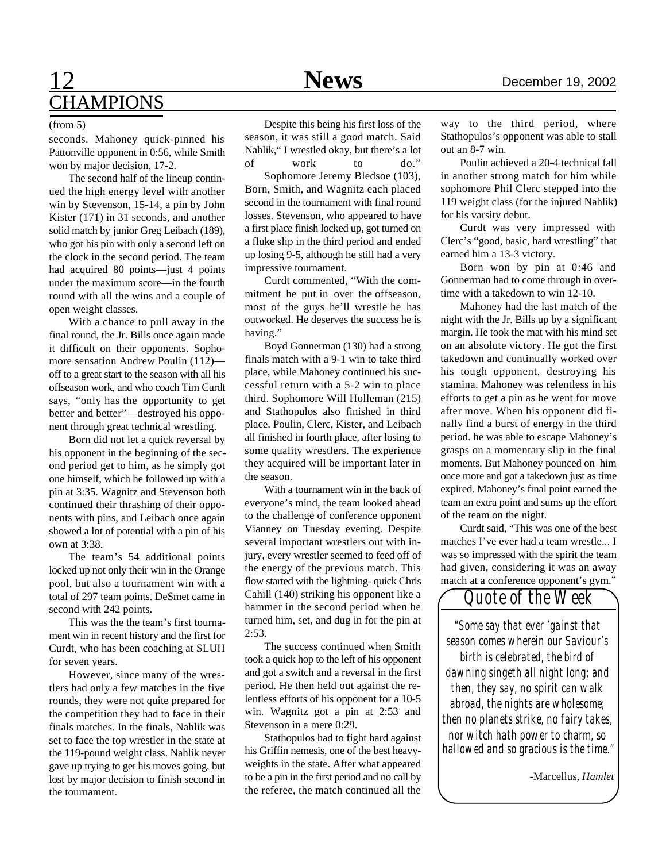#### (from 5)

seconds. Mahoney quick-pinned his Pattonville opponent in 0:56, while Smith won by major decision, 17-2.

The second half of the lineup continued the high energy level with another win by Stevenson, 15-14, a pin by John Kister (171) in 31 seconds, and another solid match by junior Greg Leibach (189), who got his pin with only a second left on the clock in the second period. The team had acquired 80 points—just 4 points under the maximum score—in the fourth round with all the wins and a couple of open weight classes.

With a chance to pull away in the final round, the Jr. Bills once again made it difficult on their opponents. Sophomore sensation Andrew Poulin (112) off to a great start to the season with all his offseason work, and who coach Tim Curdt says, "only has the opportunity to get better and better"—destroyed his opponent through great technical wrestling.

Born did not let a quick reversal by his opponent in the beginning of the second period get to him, as he simply got one himself, which he followed up with a pin at 3:35. Wagnitz and Stevenson both continued their thrashing of their opponents with pins, and Leibach once again showed a lot of potential with a pin of his own at 3:38.

The team's 54 additional points locked up not only their win in the Orange pool, but also a tournament win with a total of 297 team points. DeSmet came in second with 242 points.

This was the the team's first tournament win in recent history and the first for Curdt, who has been coaching at SLUH for seven years.

However, since many of the wrestlers had only a few matches in the five rounds, they were not quite prepared for the competition they had to face in their finals matches. In the finals, Nahlik was set to face the top wrestler in the state at the 119-pound weight class. Nahlik never gave up trying to get his moves going, but lost by major decision to finish second in the tournament.

Despite this being his first loss of the season, it was still a good match. Said Nahlik," I wrestled okay, but there's a lot of work to do."

Sophomore Jeremy Bledsoe (103), Born, Smith, and Wagnitz each placed second in the tournament with final round losses. Stevenson, who appeared to have a first place finish locked up, got turned on a fluke slip in the third period and ended up losing 9-5, although he still had a very impressive tournament.

Curdt commented, "With the commitment he put in over the offseason, most of the guys he'll wrestle he has outworked. He deserves the success he is having."

Boyd Gonnerman (130) had a strong finals match with a 9-1 win to take third place, while Mahoney continued his successful return with a 5-2 win to place third. Sophomore Will Holleman (215) and Stathopulos also finished in third place. Poulin, Clerc, Kister, and Leibach all finished in fourth place, after losing to some quality wrestlers. The experience they acquired will be important later in the season.

With a tournament win in the back of everyone's mind, the team looked ahead to the challenge of conference opponent Vianney on Tuesday evening. Despite several important wrestlers out with injury, every wrestler seemed to feed off of the energy of the previous match. This flow started with the lightning- quick Chris Cahill (140) striking his opponent like a hammer in the second period when he turned him, set, and dug in for the pin at 2:53.

The success continued when Smith took a quick hop to the left of his opponent and got a switch and a reversal in the first period. He then held out against the relentless efforts of his opponent for a 10-5 win. Wagnitz got a pin at 2:53 and Stevenson in a mere 0:29.

Stathopulos had to fight hard against his Griffin nemesis, one of the best heavyweights in the state. After what appeared to be a pin in the first period and no call by the referee, the match continued all the

way to the third period, where Stathopulos's opponent was able to stall out an 8-7 win.

Poulin achieved a 20-4 technical fall in another strong match for him while sophomore Phil Clerc stepped into the 119 weight class (for the injured Nahlik) for his varsity debut.

Curdt was very impressed with Clerc's "good, basic, hard wrestling" that earned him a 13-3 victory.

Born won by pin at 0:46 and Gonnerman had to come through in overtime with a takedown to win 12-10.

Mahoney had the last match of the night with the Jr. Bills up by a significant margin. He took the mat with his mind set on an absolute victory. He got the first takedown and continually worked over his tough opponent, destroying his stamina. Mahoney was relentless in his efforts to get a pin as he went for move after move. When his opponent did finally find a burst of energy in the third period. he was able to escape Mahoney's grasps on a momentary slip in the final moments. But Mahoney pounced on him once more and got a takedown just as time expired. Mahoney's final point earned the team an extra point and sums up the effort of the team on the night.

Curdt said, "This was one of the best matches I've ever had a team wrestle... I was so impressed with the spirit the team had given, considering it was an away match at a conference opponent's gym."



*"Some say that ever 'gainst that season comes wherein our Saviour's birth is celebrated, the bird of dawning singeth all night long; and then, they say, no spirit can walk abroad, the nights are wholesome; then no planets strike, no fairy takes, nor witch hath power to charm, so hallowed and so gracious is the time."*

-Marcellus, *Hamlet*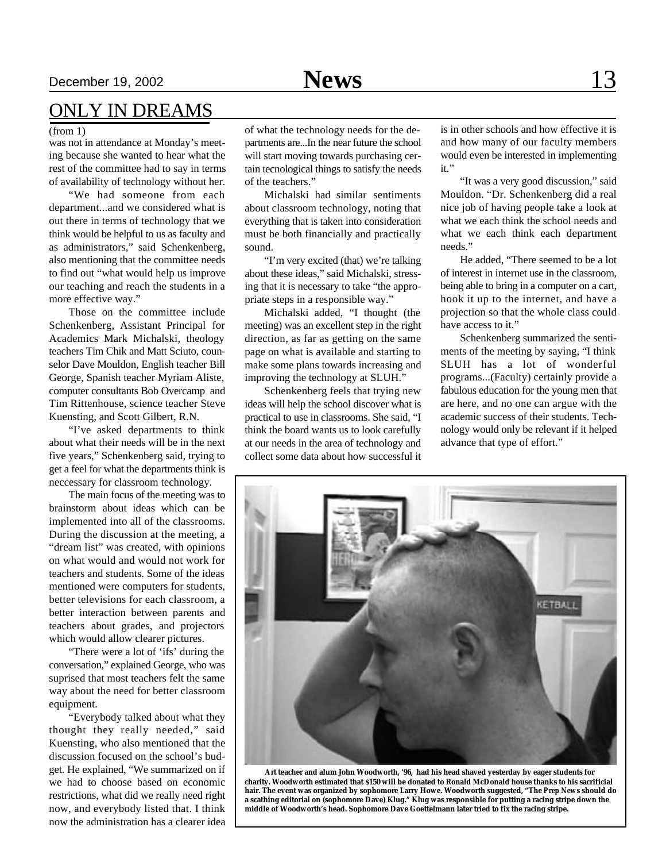### December 19, 2002 **News** 13

### ONLY IN DREAMS

#### (from 1)

was not in attendance at Monday's meeting because she wanted to hear what the rest of the committee had to say in terms of availability of technology without her.

"We had someone from each department...and we considered what is out there in terms of technology that we think would be helpful to us as faculty and as administrators," said Schenkenberg, also mentioning that the committee needs to find out "what would help us improve our teaching and reach the students in a more effective way."

Those on the committee include Schenkenberg, Assistant Principal for Academics Mark Michalski, theology teachers Tim Chik and Matt Sciuto, counselor Dave Mouldon, English teacher Bill George, Spanish teacher Myriam Aliste, computer consultants Bob Overcamp and Tim Rittenhouse, science teacher Steve Kuensting, and Scott Gilbert, R.N.

"I've asked departments to think about what their needs will be in the next five years," Schenkenberg said, trying to get a feel for what the departments think is neccessary for classroom technology.

The main focus of the meeting was to brainstorm about ideas which can be implemented into all of the classrooms. During the discussion at the meeting, a "dream list" was created, with opinions on what would and would not work for teachers and students. Some of the ideas mentioned were computers for students, better televisions for each classroom, a better interaction between parents and teachers about grades, and projectors which would allow clearer pictures.

"There were a lot of 'ifs' during the conversation," explained George, who was suprised that most teachers felt the same way about the need for better classroom equipment.

"Everybody talked about what they thought they really needed," said Kuensting, who also mentioned that the discussion focused on the school's budget. He explained, "We summarized on if we had to choose based on economic restrictions, what did we really need right now, and everybody listed that. I think now the administration has a clearer idea

of what the technology needs for the departments are...In the near future the school will start moving towards purchasing certain tecnological things to satisfy the needs of the teachers."

Michalski had similar sentiments about classroom technology, noting that everything that is taken into consideration must be both financially and practically sound.

"I'm very excited (that) we're talking about these ideas," said Michalski, stressing that it is necessary to take "the appropriate steps in a responsible way."

Michalski added, "I thought (the meeting) was an excellent step in the right direction, as far as getting on the same page on what is available and starting to make some plans towards increasing and improving the technology at SLUH."

Schenkenberg feels that trying new ideas will help the school discover what is practical to use in classrooms. She said, "I think the board wants us to look carefully at our needs in the area of technology and collect some data about how successful it

is in other schools and how effective it is and how many of our faculty members would even be interested in implementing it."

"It was a very good discussion," said Mouldon. "Dr. Schenkenberg did a real nice job of having people take a look at what we each think the school needs and what we each think each department needs."

He added, "There seemed to be a lot of interest in internet use in the classroom, being able to bring in a computer on a cart, hook it up to the internet, and have a projection so that the whole class could have access to it."

Schenkenberg summarized the sentiments of the meeting by saying, "I think SLUH has a lot of wonderful programs...(Faculty) certainly provide a fabulous education for the young men that are here, and no one can argue with the academic success of their students. Technology would only be relevant if it helped advance that type of effort."

**KETBALL**